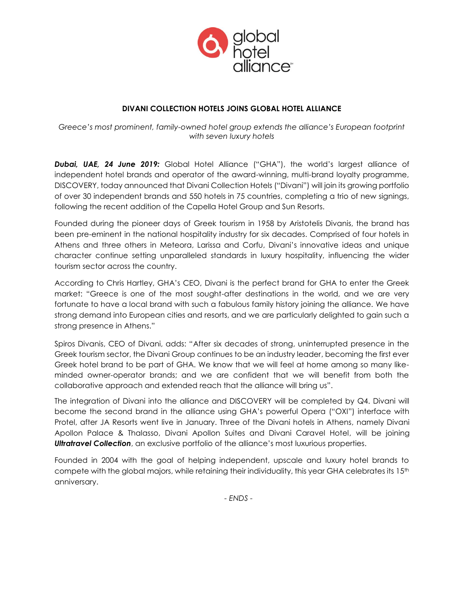

# **DIVANI COLLECTION HOTELS JOINS GLOBAL HOTEL ALLIANCE**

*Greece's most prominent, family-owned hotel group extends the alliance's European footprint with seven luxury hotels* 

*Dubai, UAE, 24 June 2019:* Global Hotel Alliance ("GHA"), the world's largest alliance of independent hotel brands and operator of the award-winning, multi-brand loyalty programme, DISCOVERY, today announced that Divani Collection Hotels ("Divani") will join its growing portfolio of over 30 independent brands and 550 hotels in 75 countries, completing a trio of new signings, following the recent addition of the Capella Hotel Group and Sun Resorts.

Founded during the pioneer days of Greek tourism in 1958 by Aristotelis Divanis, the brand has been pre-eminent in the national hospitality industry for six decades. Comprised of four hotels in Athens and three others in Meteora, Larissa and Corfu, Divani's innovative ideas and unique character continue setting unparalleled standards in luxury hospitality, influencing the wider tourism sector across the country.

According to Chris Hartley, GHA's CEO, Divani is the perfect brand for GHA to enter the Greek market: "Greece is one of the most sought-after destinations in the world, and we are very fortunate to have a local brand with such a fabulous family history joining the alliance. We have strong demand into European cities and resorts, and we are particularly delighted to gain such a strong presence in Athens."

Spiros Divanis, CEO of Divani, adds: "After six decades of strong, uninterrupted presence in the Greek tourism sector, the Divani Group continues to be an industry leader, becoming the first ever Greek hotel brand to be part of GHA. We know that we will feel at home among so many likeminded owner-operator brands; and we are confident that we will benefit from both the collaborative approach and extended reach that the alliance will bring us".

The integration of Divani into the alliance and DISCOVERY will be completed by Q4. Divani will become the second brand in the alliance using GHA's powerful Opera ("OXI") interface with Protel, after JA Resorts went live in January. Three of the Divani hotels in Athens, namely Divani Apollon Palace & Thalasso, Divani Apollon Suites and Divani Caravel Hotel, will be joining *Ultratravel Collection*, an exclusive portfolio of the alliance's most luxurious properties.

Founded in 2004 with the goal of helping independent, upscale and luxury hotel brands to compete with the global majors, while retaining their individuality, this year GHA celebrates its 15<sup>th</sup> anniversary.

*- ENDS -*